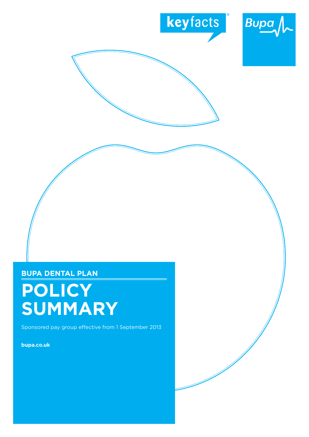



**Bupa Dental PLAN**

# **Policy summary**

Sponsored pay group effective from 1 September 2013

**bupa.co.uk**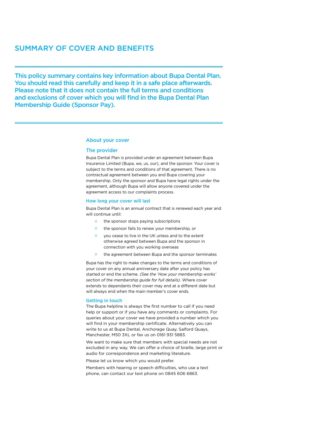### Summary of cover and benefits

This policy summary contains key information about Bupa Dental Plan. You should read this carefully and keep it in a safe place afterwards. Please note that it does not contain the full terms and conditions and exclusions of cover which you will find in the Bupa Dental Plan Membership Guide (Sponsor Pay).

### About your cover

### The provider

Bupa Dental Plan is provided under an agreement between Bupa Insurance Limited (Bupa, we, us, our), and the sponsor. Your cover is subject to the terms and conditions of that agreement. There is no contractual agreement between you and Bupa covering your membership. Only the sponsor and Bupa have legal rights under the agreement, although Bupa will allow anyone covered under the agreement access to our complaints process.

### How long your cover will last

Bupa Dental Plan is an annual contract that is renewed each year and will continue until:

- o the sponsor stops paying subscriptions
- o the sponsor fails to renew your membership, or
- o you cease to live in the UK unless and to the extent otherwise agreed between Bupa and the sponsor in connection with you working overseas
- o the agreement between Bupa and the sponsor terminates

Bupa has the right to make changes to the terms and conditions of your cover on any annual anniversary date after your policy has started or end the scheme. *(See the 'How your membership works' section of the membership guide for full details)*. Where cover extends to dependants their cover may end at a different date but will always end when the main member's cover ends.

#### Getting in touch

The Bupa helpline is always the first number to call if you need help or support or if you have any comments or complaints. For queries about your cover we have provided a number which you will find in your membership certificate. Alternatively you can write to us at Bupa Dental, Anchorage Quay, Salford Quays, Manchester, M50 3XL or fax us on 0161 931 5883.

We want to make sure that members with special needs are not excluded in any way. We can offer a choice of braille, large print or audio for correspondence and marketing literature.

Please let us know which you would prefer.

Members with hearing or speech difficulties, who use a text phone, can contact our text phone on 0845 606 6863.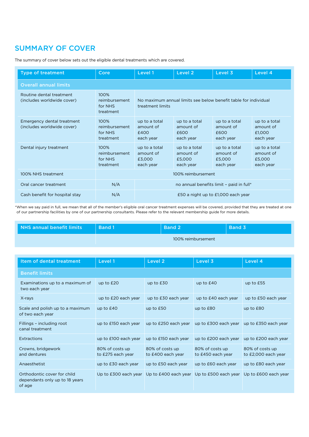## Summary of cover

The summary of cover below sets out the eligible dental treatments which are covered.

| <b>Type of treatment</b>                                 | Core                                          | Level 1                                                                             | Level 2                                           | Level 3                                           | Level 4                                           |  |  |
|----------------------------------------------------------|-----------------------------------------------|-------------------------------------------------------------------------------------|---------------------------------------------------|---------------------------------------------------|---------------------------------------------------|--|--|
| <b>Overall annual limits</b>                             |                                               |                                                                                     |                                                   |                                                   |                                                   |  |  |
| Routine dental treatment<br>(includes worldwide cover)   | 100%<br>reimbursement<br>for NHS<br>treatment | No maximum annual limits see below benefit table for individual<br>treatment limits |                                                   |                                                   |                                                   |  |  |
| Emergency dental treatment<br>(includes worldwide cover) | 100%<br>reimbursement<br>for NHS<br>treatment | up to a total<br>amount of<br>£400<br>each year                                     | up to a total<br>amount of<br>£600<br>each year   | up to a total<br>amount of<br>£600<br>each year   | up to a total<br>amount of<br>£1,000<br>each year |  |  |
| Dental injury treatment                                  | 100%<br>reimbursement<br>for NHS<br>treatment | up to a total<br>amount of<br>£3,000<br>each year                                   | up to a total<br>amount of<br>£5,000<br>each year | up to a total<br>amount of<br>£5,000<br>each year | up to a total<br>amount of<br>£5,000<br>each year |  |  |
| 100% NHS treatment                                       | 100% reimbursement                            |                                                                                     |                                                   |                                                   |                                                   |  |  |
| Oral cancer treatment                                    | N/A                                           | no annual benefits limit - paid in full*                                            |                                                   |                                                   |                                                   |  |  |
| Cash benefit for hospital stay                           | N/A                                           | £50 a night up to £1,000 each year                                                  |                                                   |                                                   |                                                   |  |  |

\*When we say paid in full, we mean that all of the member's eligible oral cancer treatment expenses will be covered, provided that they are treated at one of our partnership facilities by one of our partnership consultants. Please refer to the relevant membership guide for more details.

| NHS annual benefit limits | Band 1             |  | <b>Band 3</b> |  |  |
|---------------------------|--------------------|--|---------------|--|--|
|                           | 100% reimbursement |  |               |  |  |

| Item of dental treatment                                                | Level 1                              | Level 2                                                                             | Level 3                                   | Level 4                                |
|-------------------------------------------------------------------------|--------------------------------------|-------------------------------------------------------------------------------------|-------------------------------------------|----------------------------------------|
| <b>Benefit limits</b>                                                   |                                      |                                                                                     |                                           |                                        |
| Examinations up to a maximum of<br>two each year                        | up to $E20$                          | up to $E30$                                                                         | up to $E40$                               | up to £55                              |
| X-rays                                                                  | up to £20 each year                  | up to £30 each year                                                                 | up to £40 each year                       | up to £50 each year                    |
| Scale and polish up to a maximum<br>of two each year                    | up to $E40$                          | up to $E50$                                                                         | up to £80                                 | up to £80                              |
| Fillings - including root<br>canal treatment                            | up to £150 each year                 | up to £250 each year                                                                | up to £300 each year up to £350 each year |                                        |
| <b>Extractions</b>                                                      | up to £100 each year                 | up to £150 each year                                                                | up to £200 each year up to £200 each year |                                        |
| Crowns, bridgework<br>and dentures                                      | 80% of costs up<br>to £275 each year | 80% of costs up<br>to £400 each year                                                | 80% of costs up<br>to £450 each year      | 80% of costs up<br>to £2,000 each year |
| Anaesthetist                                                            | up to £30 each year                  | up to £50 each year                                                                 | up to £60 each year                       | up to £80 each year                    |
| Orthodontic cover for child<br>dependants only up to 18 years<br>of age |                                      | Up to £300 each year Up to £400 each year Up to £500 each year Up to £600 each year |                                           |                                        |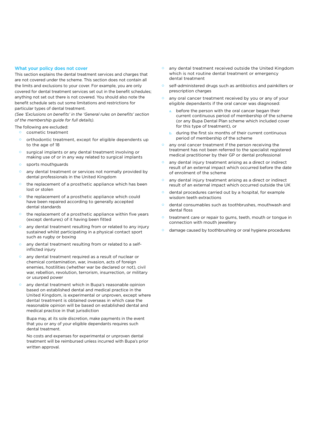### What your policy does not cover

This section explains the dental treatment services and charges that are not covered under the scheme. This section does not contain all the limits and exclusions to your cover. For example, you are only covered for dental treatment services set out in the benefit schedules; anything not set out there is not covered. You should also note the benefit schedule sets out some limitations and restrictions for particular types of dental treatment.

*(See 'Exclusions on benefits' in the 'General rules on benefits' section of the membership guide for full details).* 

The following are excluded:

- o cosmetic treatment
- o orthodontic treatment, except for eligible dependents up to the age of 18
- o surgical implants or any dental treatment involving or making use of or in any way related to surgical implants
- o sports mouthguards
- any dental treatment or services not normally provided by dental professionals in the United Kingdom
- o the replacement of a prosthetic appliance which has been lost or stolen
- the replacement of a prosthetic appliance which could have been repaired according to generally accepted dental standards
- the replacement of a prosthetic appliance within five years (except dentures) of it having been fitted
- any dental treatment resulting from or related to any injury sustained whilst participating in a physical contact sport such as rugby or boxing
- any dental treatment resulting from or related to a selfinflicted injury
- o any dental treatment required as a result of nuclear or chemical contamination, war, invasion, acts of foreign enemies, hostilities (whether war be declared or not), civil war, rebellion, revolution, terrorism, insurrection, or military or usurped power
- any dental treatment which in Bupa's reasonable opinion based on established dental and medical practice in the United Kingdom, is experimental or unproven, except where dental treatment is obtained overseas in which case the reasonable opinion will be based on established dental and medical practice in that jurisdiction

Bupa may, at its sole discretion, make payments in the event that you or any of your eligible dependants requires such dental treatment.

 No costs and expenses for experimental or unproven dental treatment will be reimbursed unless incurred with Bupa's prior written approval.

- any dental treatment received outside the United Kingdom which is not routine dental treatment or emergency dental treatment
- self-administered drugs such as antibiotics and painkillers or prescription charges
- any oral cancer treatment received by you or any of your eligible dependants if the oral cancer was diagnosed:
	- before the person with the oral cancer began their current continuous period of membership of the scheme (or any Bupa Dental Plan scheme which included cover for this type of treatment), or
	- during the first six months of their current continuous period of membership of the scheme
- o any oral cancer treatment if the person receiving the treatment has not been referred to the specialist registered medical practitioner by their GP or dental professional
- any dental injury treatment arising as a direct or indirect result of an external impact which occurred before the date of enrolment of the scheme
- any dental injury treatment arising as a direct or indirect result of an external impact which occurred outside the UK
- dental procedures carried out by a hospital, for example wisdom teeth extractions
- o dental consumables such as toothbrushes, mouthwash and dental floss
- treatment care or repair to gums, teeth, mouth or tongue in connection with mouth jewellery
- damage caused by toothbrushing or oral hygiene procedures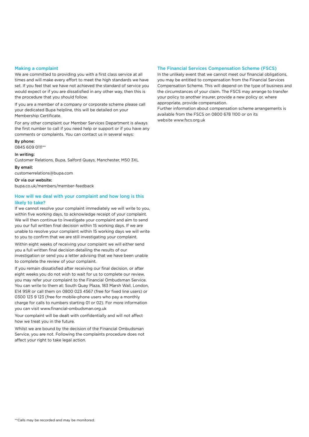### Making a complaint

We are committed to providing you with a first class service at all times and will make every effort to meet the high standards we have set. If you feel that we have not achieved the standard of service you would expect or if you are dissatisfied in any other way, then this is the procedure that you should follow.

If you are a member of a company or corporate scheme please call your dedicated Bupa helpline, this will be detailed on your Membership Certificate.

For any other complaint our Member Services Department is always the first number to call if you need help or support or if you have any comments or complaints. You can contact us in several ways:

By phone: 0845 609 0111\*\*

In writing:

Customer Relations, Bupa, Salford Quays, Manchester, M50 3XL

By email:

customerrelations@bupa.com

Or via our website: bupa.co.uk/members/member-feedback

### How will we deal with your complaint and how long is this likely to take?

If we cannot resolve your complaint immediately we will write to you, within five working days, to acknowledge receipt of your complaint. We will then continue to investigate your complaint and aim to send you our full written final decision within 15 working days. If we are unable to resolve your complaint within 15 working days we will write to you to confirm that we are still investigating your complaint.

Within eight weeks of receiving your complaint we will either send you a full written final decision detailing the results of our investigation or send you a letter advising that we have been unable to complete the review of your complaint.

If you remain dissatisfied after receiving our final decision, or after eight weeks you do not wish to wait for us to complete our review, you may refer your complaint to the Financial Ombudsman Service. You can write to them at: South Quay Plaza, 183 Marsh Wall, London, E14 9SR or call them on 0800 023 4567 (free for fixed line users) or 0300 123 9 123 (free for mobile-phone users who pay a monthly charge for calls to numbers starting 01 or 02). For more information you can visit www.financial-ombudsman.org.uk

Your complaint will be dealt with confidentially and will not affect how we treat you in the future.

Whilst we are bound by the decision of the Financial Ombudsman Service, you are not. Following the complaints procedure does not affect your right to take legal action.

### The Financial Services Compensation Scheme (FSCS)

In the unlikely event that we cannot meet our financial obligations, you may be entitled to compensation from the Financial Services Compensation Scheme. This will depend on the type of business and the circumstances of your claim. The FSCS may arrange to transfer your policy to another insurer, provide a new policy or, where appropriate, provide compensation.

Further information about compensation scheme arrangements is available from the FSCS on 0800 678 1100 or on its website www.fscs.org.uk